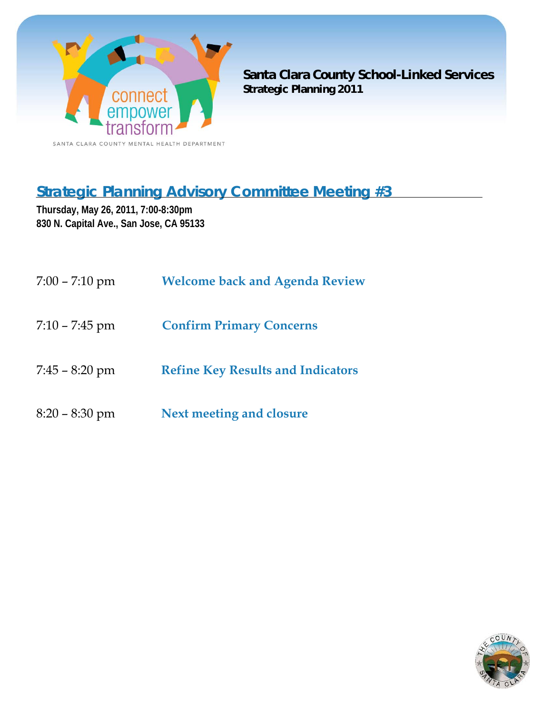

**Santa Clara County School-Linked Services Strategic Planning 2011**

# **Strategic Planning Advisory Committee Meeting #3**

**Thursday, May 26, 2011, 7:00-8:30pm 830 N. Capital Ave., San Jose, CA 95133** 

| $7:00 - 7:10$ pm | <b>Welcome back and Agenda Review</b>    |
|------------------|------------------------------------------|
| $7:10 - 7:45$ pm | <b>Confirm Primary Concerns</b>          |
| $7:45 - 8:20$ pm | <b>Refine Key Results and Indicators</b> |
| $8:20 - 8:30$ pm | Next meeting and closure                 |

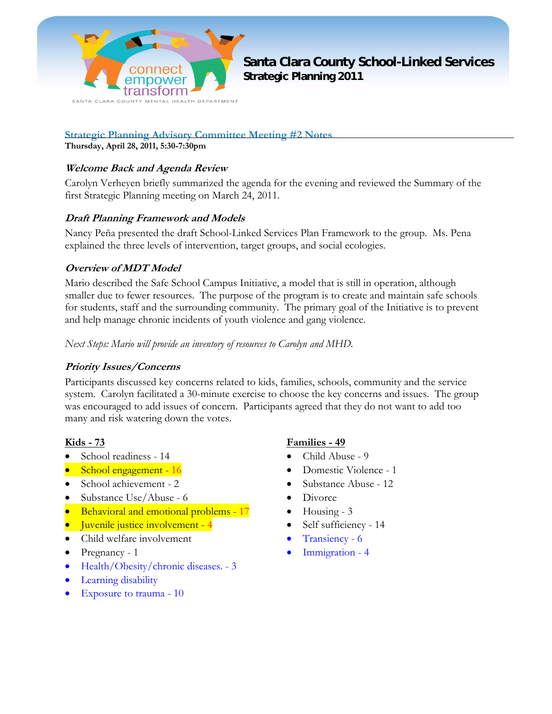

**Santa Clara County School-Linked Services Strategic Planning 2011**

**Strategic Planning Advisory Committee Meeting #2 Notes** 

**Thursday, April 28, 2011, 5:30-7:30pm** 

#### **Welcome Back and Agenda Review**

Carolyn Verheyen briefly summarized the agenda for the evening and reviewed the Summary of the first Strategic Planning meeting on March 24, 2011.

#### **Draft Planning Framework and Models**

Nancy Peña presented the draft School-Linked Services Plan Framework to the group. Ms. Pena explained the three levels of intervention, target groups, and social ecologies.

#### **Overview of MDT Model**

Mario described the Safe School Campus Initiative, a model that is still in operation, although smaller due to fewer resources. The purpose of the program is to create and maintain safe schools for students, staff and the surrounding community. The primary goal of the Initiative is to prevent and help manage chronic incidents of youth violence and gang violence.

*Next Steps: Mario will provide an inventory of resources to Carolyn and MHD.* 

#### **Priority Issues/Concerns**

Participants discussed key concerns related to kids, families, schools, community and the service system. Carolyn facilitated a 30-minute exercise to choose the key concerns and issues. The group was encouraged to add issues of concern. Participants agreed that they do not want to add too many and risk watering down the votes.

#### **Kids - 73**

- School readiness 14
- School engagement 16
- School achievement 2
- Substance Use/Abuse 6
- Behavioral and emotional problems 17
- Juvenile justice involvement 4
- Child welfare involvement
- Pregnancy 1
- Health/Obesity/chronic diseases. 3
- Learning disability
- Exposure to trauma 10

#### **Families - 49**

- Child Abuse 9
- Domestic Violence 1
- Substance Abuse 12
- **Divorce**
- $\bullet$  Housing 3
- Self sufficiency 14
- Transiency 6
- Immigration 4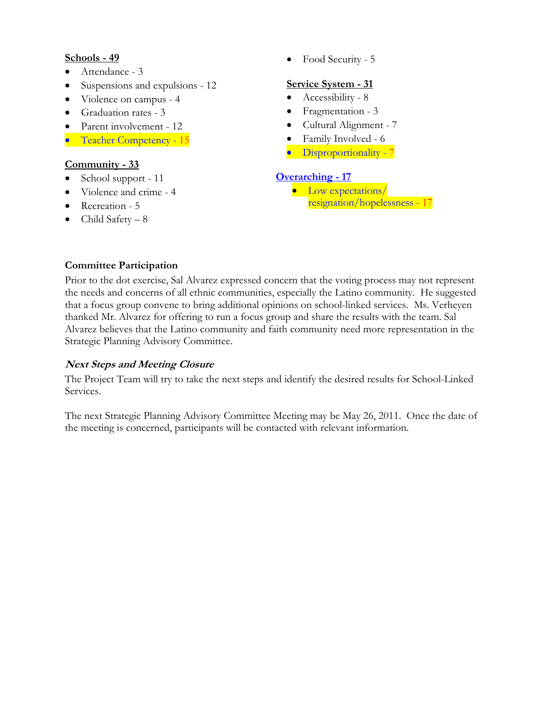#### **Schools - 49**

- Attendance 3
- Suspensions and expulsions 12
- Violence on campus 4
- Graduation rates 3
- Parent involvement 12
- Teacher Competency 15

#### **Community - 33**

- School support 11
- Violence and crime 4
- Recreation 5
- $\bullet$  Child Safety 8

#### • Food Security - 5

#### **Service System - 31**

- Accessibility 8
- Fragmentation 3
- Cultural Alignment 7
- Family Involved 6
- Disproportionality 7

#### **Overarching - 17**

• Low expectations/ resignation/hopelessness - 17

#### **Committee Participation**

Prior to the dot exercise, Sal Alvarez expressed concern that the voting process may not represent the needs and concerns of all ethnic communities, especially the Latino community. He suggested that a focus group convene to bring additional opinions on school-linked services. Ms. Verheyen thanked Mr. Alvarez for offering to run a focus group and share the results with the team. Sal Alvarez believes that the Latino community and faith community need more representation in the Strategic Planning Advisory Committee.

#### **Next Steps and Meeting Closure**

The Project Team will try to take the next steps and identify the desired results for School-Linked Services.

The next Strategic Planning Advisory Committee Meeting may be May 26, 2011. Once the date of the meeting is concerned, participants will be contacted with relevant information.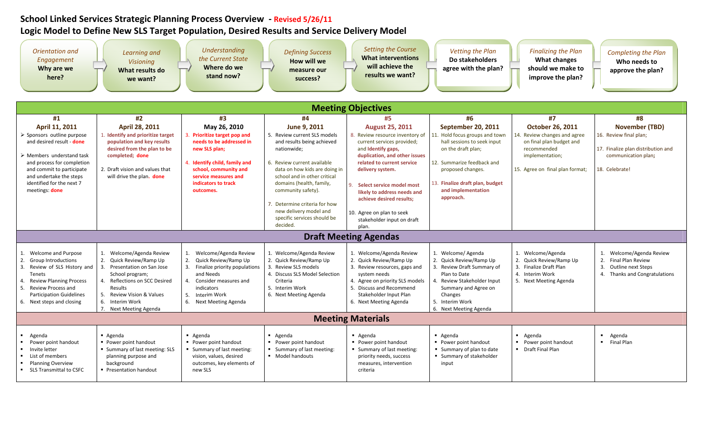# **School Linked Services Strategic Planning Process Overview ‐ Revised 5/26/11 Logic Model to Define New SLS Target Population, Desired Results and Service Delivery Model**

| Orientation and<br>Engagement<br>Why are we<br>here?                                                                                                                                                                                                       | Learning and<br><b>Visioning</b><br>What results do<br>we want?                                                                                                                                                                                    | <b>Understanding</b><br>the Current State<br>Where do we<br>stand now?                                                                                                                                          | <b>Defining Success</b><br>How will we<br>measure our<br>success?                                                                                                                                                                                                                                                                                 | Setting the Course<br><b>What interventions</b><br>will achieve the<br>results we want?                                                                                                                                                                                                                                                                      | Vetting the Plan<br>Do stakeholders<br>agree with the plan?                                                                                                                                                                        | <b>Finalizing the Plan</b><br><b>What changes</b><br>should we make to<br>improve the plan?                                                          | <b>Completing the Plan</b><br>Who needs to<br>approve the plan?                                                                |
|------------------------------------------------------------------------------------------------------------------------------------------------------------------------------------------------------------------------------------------------------------|----------------------------------------------------------------------------------------------------------------------------------------------------------------------------------------------------------------------------------------------------|-----------------------------------------------------------------------------------------------------------------------------------------------------------------------------------------------------------------|---------------------------------------------------------------------------------------------------------------------------------------------------------------------------------------------------------------------------------------------------------------------------------------------------------------------------------------------------|--------------------------------------------------------------------------------------------------------------------------------------------------------------------------------------------------------------------------------------------------------------------------------------------------------------------------------------------------------------|------------------------------------------------------------------------------------------------------------------------------------------------------------------------------------------------------------------------------------|------------------------------------------------------------------------------------------------------------------------------------------------------|--------------------------------------------------------------------------------------------------------------------------------|
|                                                                                                                                                                                                                                                            | <b>Meeting Objectives</b>                                                                                                                                                                                                                          |                                                                                                                                                                                                                 |                                                                                                                                                                                                                                                                                                                                                   |                                                                                                                                                                                                                                                                                                                                                              |                                                                                                                                                                                                                                    |                                                                                                                                                      |                                                                                                                                |
| #1                                                                                                                                                                                                                                                         | #2                                                                                                                                                                                                                                                 | #3                                                                                                                                                                                                              | #4                                                                                                                                                                                                                                                                                                                                                | #5                                                                                                                                                                                                                                                                                                                                                           | #6                                                                                                                                                                                                                                 | #7                                                                                                                                                   | #8<br><b>November (TBD)</b>                                                                                                    |
| April 11, 2011<br>> Sponsors outline purpose<br>and desired result - done<br>$\triangleright$ Members understand task<br>and process for completion<br>and commit to participate<br>and undertake the steps<br>identified for the next 7<br>meetings: done | April 28, 2011<br>1. Identify and prioritize target<br>population and key results<br>desired from the plan to be<br>completed; done<br>2. Draft vision and values that<br>will drive the plan. done                                                | May 26, 2010<br>3. Prioritize target pop and<br>needs to be addressed in<br>new SLS plan;<br>4. Identify child, family and<br>school, community and<br>service measures and<br>indicators to track<br>outcomes. | June 9, 2011<br>5. Review current SLS models<br>and results being achieved<br>nationwide;<br>6. Review current available<br>data on how kids are doing in<br>school and in other critical<br>domains (health, family,<br>community safety).<br>7. Determine criteria for how<br>new delivery model and<br>specific services should be<br>decided. | <b>August 25, 2011</b><br>8. Review resource inventory of<br>current services provided;<br>and Identify gaps,<br>duplication, and other issues<br>related to current service<br>delivery system.<br>Select service model most<br>likely to address needs and<br>achieve desired results:<br>10. Agree on plan to seek<br>stakeholder input on draft<br>plan. | September 20, 2011<br>11. Hold focus groups and town<br>hall sessions to seek input<br>on the draft plan;<br>12. Summarize feedback and<br>proposed changes.<br>13. Finalize draft plan, budget<br>and implementation<br>approach. | <b>October 26, 2011</b><br>Review changes and agree<br>on final plan budget and<br>recommended<br>implementation;<br>15. Agree on final plan format; | 16. Review final plan;<br>17. Finalize plan distribution and<br>communication plan;<br>18. Celebrate!                          |
|                                                                                                                                                                                                                                                            |                                                                                                                                                                                                                                                    |                                                                                                                                                                                                                 |                                                                                                                                                                                                                                                                                                                                                   | <b>Draft Meeting Agendas</b>                                                                                                                                                                                                                                                                                                                                 |                                                                                                                                                                                                                                    |                                                                                                                                                      |                                                                                                                                |
| Welcome and Purpose<br>1.<br>2.<br><b>Group Introductions</b><br>3.<br>Review of SLS History and<br>Tenets<br><b>Review Planning Process</b><br>4.<br>5.<br>Review Process and<br><b>Participation Guidelines</b><br>6. Next steps and closing             | Welcome/Agenda Review<br>1.<br>2. Quick Review/Ramp Up<br>3.<br>Presentation on San Jose<br>School program;<br>Reflections on SCC Desired<br>4.<br>Results<br>5.<br><b>Review Vision &amp; Values</b><br>6. Interim Work<br>7. Next Meeting Agenda | 1. Welcome/Agenda Review<br>2. Quick Review/Ramp Up<br>3. Finalize priority populations<br>and Needs<br>4. Consider measures and<br>indicators<br>5.<br>Interim Work<br>6. Next Meeting Agenda                  | 1. Welcome/Agenda Review<br>2. Quick Review/Ramp Up<br>3. Review SLS models<br>4. Discuss SLS Model Selection<br>Criteria<br>5. Interim Work<br>6. Next Meeting Agenda                                                                                                                                                                            | 1. Welcome/Agenda Review<br>2. Quick Review/Ramp Up<br>3. Review resources, gaps and<br>system needs<br>4. Agree on priority SLS models<br>5. Discuss and Recommend<br>Stakeholder Input Plan<br>6. Next Meeting Agenda                                                                                                                                      | 1. Welcome/ Agenda<br>2. Quick Review/Ramp Up<br>3. Review Draft Summary of<br>Plan to Date<br>4. Review Stakeholder Input<br>Summary and Agree on<br>Changes<br>5. Interim Work<br>6. Next Meeting Agenda                         | 1. Welcome/Agenda<br>2. Quick Review/Ramp Up<br>3. Finalize Draft Plan<br>4. Interim Work<br>5. Next Meeting Agenda                                  | 1. Welcome/Agenda Review<br>2.<br><b>Final Plan Review</b><br>3.<br><b>Outline next Steps</b><br>4. Thanks and Congratulations |
| <b>Meeting Materials</b>                                                                                                                                                                                                                                   |                                                                                                                                                                                                                                                    |                                                                                                                                                                                                                 |                                                                                                                                                                                                                                                                                                                                                   |                                                                                                                                                                                                                                                                                                                                                              |                                                                                                                                                                                                                                    |                                                                                                                                                      |                                                                                                                                |
| Agenda<br>Power point handout<br>Invite letter<br>List of members<br><b>Planning Overview</b><br><b>SLS Transmittal to CSFC</b>                                                                                                                            | • Agenda<br>■ Power point handout<br><b>Summary of last meeting: SLS</b><br>planning purpose and<br>background<br>Presentation handout                                                                                                             | • Agenda<br>• Power point handout<br>Summary of last meeting:<br>vision, values, desired<br>outcomes, key elements of<br>new SLS                                                                                | Agenda<br>• Power point handout<br>• Summary of last meeting:<br>• Model handouts                                                                                                                                                                                                                                                                 | • Agenda<br>• Power point handout<br>Summary of last meeting:<br>priority needs, success<br>measures, intervention<br>criteria                                                                                                                                                                                                                               | $-A$ genda<br>• Power point handout<br>■ Summary of plan to date<br>• Summary of stakeholder<br>input                                                                                                                              | Agenda<br>• Power point handout<br>• Draft Final Plan                                                                                                | $\mathbf{u}$ .<br>Agenda<br>Final Plan                                                                                         |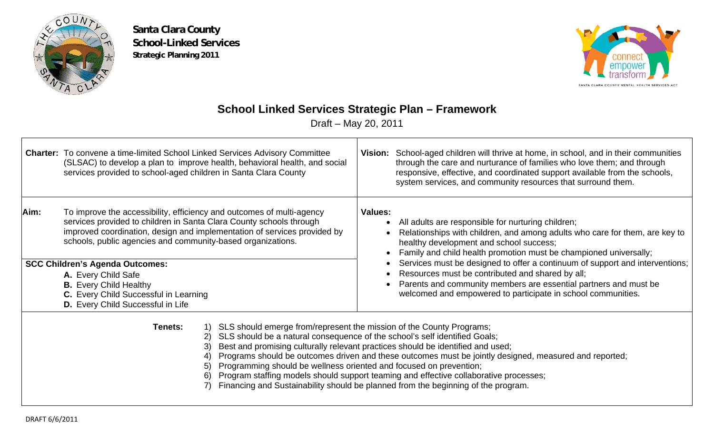

**Santa Clara County School-Linked Services Strategic Planning 2011**



# **School Linked Services Strategic Plan – Framework**

Draft – May 20, 2011

|                                                                                                                                                                                                                                                                                                                                                                                                                                                                                                                                                                                                                                           | <b>Charter:</b> To convene a time-limited School Linked Services Advisory Committee<br>(SLSAC) to develop a plan to improve health, behavioral health, and social<br>services provided to school-aged children in Santa Clara County                                                                                                                                                                                                                                    |  | Vision: School-aged children will thrive at home, in school, and in their communities<br>through the care and nurturance of families who love them; and through<br>responsive, effective, and coordinated support available from the schools,<br>system services, and community resources that surround them.                                                                                                                                                                                                             |
|-------------------------------------------------------------------------------------------------------------------------------------------------------------------------------------------------------------------------------------------------------------------------------------------------------------------------------------------------------------------------------------------------------------------------------------------------------------------------------------------------------------------------------------------------------------------------------------------------------------------------------------------|-------------------------------------------------------------------------------------------------------------------------------------------------------------------------------------------------------------------------------------------------------------------------------------------------------------------------------------------------------------------------------------------------------------------------------------------------------------------------|--|---------------------------------------------------------------------------------------------------------------------------------------------------------------------------------------------------------------------------------------------------------------------------------------------------------------------------------------------------------------------------------------------------------------------------------------------------------------------------------------------------------------------------|
| Aim:                                                                                                                                                                                                                                                                                                                                                                                                                                                                                                                                                                                                                                      | To improve the accessibility, efficiency and outcomes of multi-agency<br>services provided to children in Santa Clara County schools through<br>improved coordination, design and implementation of services provided by<br>schools, public agencies and community-based organizations.<br><b>SCC Children's Agenda Outcomes:</b><br>A. Every Child Safe<br><b>B.</b> Every Child Healthy<br>C. Every Child Successful in Learning<br>D. Every Child Successful in Life |  | All adults are responsible for nurturing children;<br>Relationships with children, and among adults who care for them, are key to<br>healthy development and school success;<br>Family and child health promotion must be championed universally;<br>Services must be designed to offer a continuum of support and interventions;<br>Resources must be contributed and shared by all;<br>Parents and community members are essential partners and must be<br>welcomed and empowered to participate in school communities. |
| 1) SLS should emerge from/represent the mission of the County Programs;<br>Tenets:<br>SLS should be a natural consequence of the school's self identified Goals;<br>2)<br>Best and promising culturally relevant practices should be identified and used;<br>3)<br>Programs should be outcomes driven and these outcomes must be jointly designed, measured and reported;<br>Programming should be wellness oriented and focused on prevention;<br>5)<br>Program staffing models should support teaming and effective collaborative processes;<br>6)<br>Financing and Sustainability should be planned from the beginning of the program. |                                                                                                                                                                                                                                                                                                                                                                                                                                                                         |  |                                                                                                                                                                                                                                                                                                                                                                                                                                                                                                                           |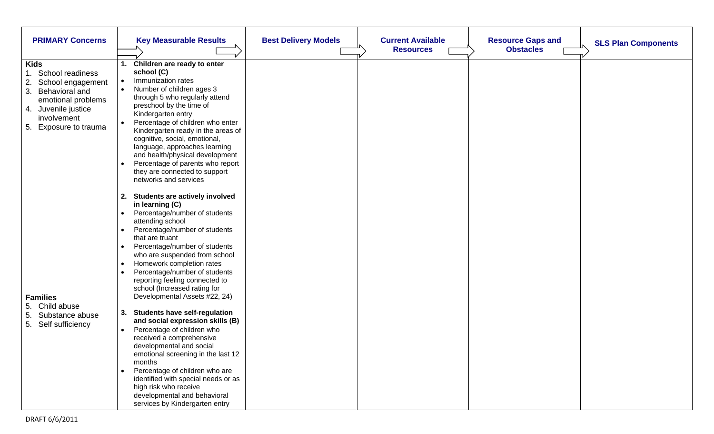| <b>PRIMARY Concerns</b>                                                                                                                                                    | <b>Key Measurable Results</b>                                                                                                                                                                                                                                                                                                                                                                                                                                                                                                                                                                                                                                                                                                                                                                                                                 | <b>Best Delivery Models</b> | <b>Current Available</b><br><b>Resources</b> | <b>Resource Gaps and</b><br><b>SLS Plan Components</b><br><b>Obstacles</b> |
|----------------------------------------------------------------------------------------------------------------------------------------------------------------------------|-----------------------------------------------------------------------------------------------------------------------------------------------------------------------------------------------------------------------------------------------------------------------------------------------------------------------------------------------------------------------------------------------------------------------------------------------------------------------------------------------------------------------------------------------------------------------------------------------------------------------------------------------------------------------------------------------------------------------------------------------------------------------------------------------------------------------------------------------|-----------------------------|----------------------------------------------|----------------------------------------------------------------------------|
| <b>Kids</b><br>School readiness<br>2.<br>School engagement<br>3.<br>Behavioral and<br>emotional problems<br>4. Juvenile justice<br>involvement<br>Exposure to trauma<br>5. | Children are ready to enter<br>1.<br>school (C)<br>Immunization rates<br>$\bullet$<br>Number of children ages 3<br>$\bullet$<br>through 5 who regularly attend<br>preschool by the time of<br>Kindergarten entry<br>Percentage of children who enter<br>$\bullet$<br>Kindergarten ready in the areas of<br>cognitive, social, emotional,<br>language, approaches learning<br>and health/physical development<br>Percentage of parents who report<br>they are connected to support<br>networks and services                                                                                                                                                                                                                                                                                                                                    |                             |                                              |                                                                            |
| <b>Families</b><br>Child abuse<br>5.<br>5.<br>Substance abuse<br>5.<br>Self sufficiency                                                                                    | <b>Students are actively involved</b><br>2.<br>in learning (C)<br>Percentage/number of students<br>$\bullet$<br>attending school<br>Percentage/number of students<br>that are truant<br>Percentage/number of students<br>$\bullet$<br>who are suspended from school<br>Homework completion rates<br>$\bullet$<br>Percentage/number of students<br>reporting feeling connected to<br>school (Increased rating for<br>Developmental Assets #22, 24)<br><b>Students have self-regulation</b><br>3.<br>and social expression skills (B)<br>Percentage of children who<br>received a comprehensive<br>developmental and social<br>emotional screening in the last 12<br>months<br>Percentage of children who are<br>identified with special needs or as<br>high risk who receive<br>developmental and behavioral<br>services by Kindergarten entry |                             |                                              |                                                                            |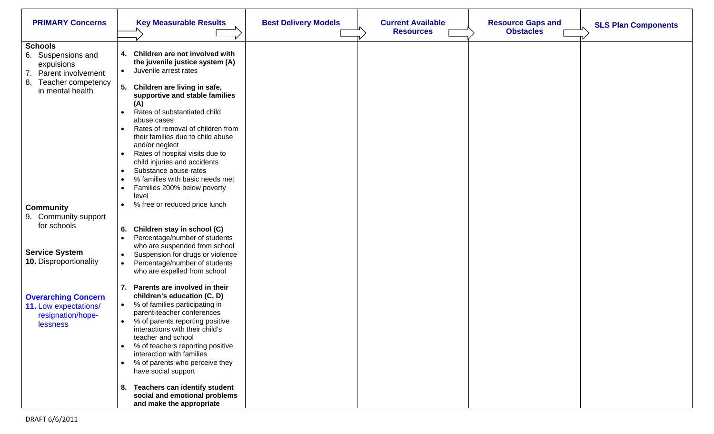| <b>PRIMARY Concerns</b>                      | <b>Key Measurable Results</b>                                                                         | <b>Best Delivery Models</b> | <b>Current Available</b> | <b>Resource Gaps and</b> | <b>SLS Plan Components</b> |
|----------------------------------------------|-------------------------------------------------------------------------------------------------------|-----------------------------|--------------------------|--------------------------|----------------------------|
|                                              |                                                                                                       |                             | <b>Resources</b>         | <b>Obstacles</b>         |                            |
| <b>Schools</b><br>6. Suspensions and         | Children are not involved with<br>4.                                                                  |                             |                          |                          |                            |
| expulsions<br>7.<br>Parent involvement       | the juvenile justice system (A)<br>Juvenile arrest rates<br>$\bullet$                                 |                             |                          |                          |                            |
| 8.<br>Teacher competency<br>in mental health | 5.<br>Children are living in safe,<br>supportive and stable families                                  |                             |                          |                          |                            |
|                                              | (A)<br>Rates of substantiated child<br>abuse cases                                                    |                             |                          |                          |                            |
|                                              | Rates of removal of children from<br>$\bullet$<br>their families due to child abuse<br>and/or neglect |                             |                          |                          |                            |
|                                              | Rates of hospital visits due to<br>$\bullet$<br>child injuries and accidents                          |                             |                          |                          |                            |
|                                              | Substance abuse rates<br>$\bullet$<br>% families with basic needs met                                 |                             |                          |                          |                            |
|                                              | $\bullet$<br>Families 200% below poverty<br>$\bullet$<br>level                                        |                             |                          |                          |                            |
| <b>Community</b>                             | % free or reduced price lunch<br>$\bullet$                                                            |                             |                          |                          |                            |
| 9. Community support<br>for schools          |                                                                                                       |                             |                          |                          |                            |
|                                              | 6.<br>Children stay in school (C)                                                                     |                             |                          |                          |                            |
|                                              | Percentage/number of students<br>$\bullet$                                                            |                             |                          |                          |                            |
| <b>Service System</b>                        | who are suspended from school<br>Suspension for drugs or violence<br>$\bullet$                        |                             |                          |                          |                            |
| <b>10.</b> Disproportionality                | Percentage/number of students                                                                         |                             |                          |                          |                            |
|                                              | who are expelled from school                                                                          |                             |                          |                          |                            |
|                                              | Parents are involved in their<br>7.                                                                   |                             |                          |                          |                            |
| <b>Overarching Concern</b>                   | children's education (C, D)                                                                           |                             |                          |                          |                            |
| 11. Low expectations/                        | % of families participating in                                                                        |                             |                          |                          |                            |
| resignation/hope-                            | parent-teacher conferences                                                                            |                             |                          |                          |                            |
| <b>lessness</b>                              | % of parents reporting positive<br>interactions with their child's<br>teacher and school              |                             |                          |                          |                            |
|                                              | % of teachers reporting positive<br>interaction with families                                         |                             |                          |                          |                            |
|                                              | % of parents who perceive they<br>$\bullet$<br>have social support                                    |                             |                          |                          |                            |
|                                              | 8. Teachers can identify student<br>social and emotional problems                                     |                             |                          |                          |                            |
|                                              | and make the appropriate                                                                              |                             |                          |                          |                            |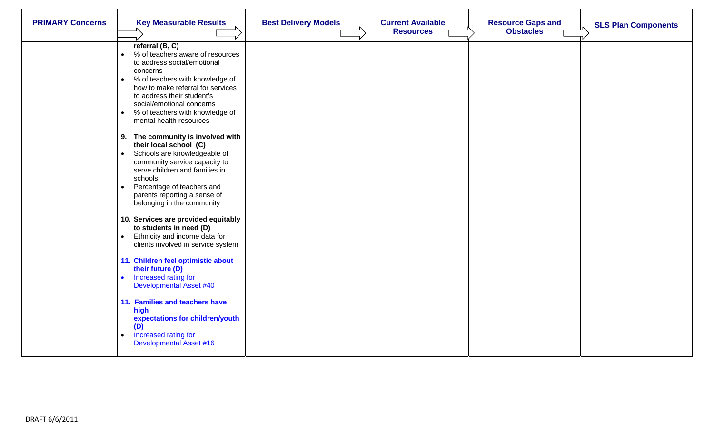| <b>PRIMARY Concerns</b> | <b>Key Measurable Results</b>                                                                                                                                                                                                                                                                                                                                                                                                                                                                                                                                                                                                                                                                                      | <b>Best Delivery Models</b> | <b>Current Available</b><br><b>Resources</b> | <b>Resource Gaps and</b><br><b>Obstacles</b> | <b>SLS Plan Components</b> |
|-------------------------|--------------------------------------------------------------------------------------------------------------------------------------------------------------------------------------------------------------------------------------------------------------------------------------------------------------------------------------------------------------------------------------------------------------------------------------------------------------------------------------------------------------------------------------------------------------------------------------------------------------------------------------------------------------------------------------------------------------------|-----------------------------|----------------------------------------------|----------------------------------------------|----------------------------|
|                         | referral (B, C)<br>% of teachers aware of resources<br>to address social/emotional<br>concerns<br>% of teachers with knowledge of<br>$\bullet$<br>how to make referral for services<br>to address their student's<br>social/emotional concerns<br>% of teachers with knowledge of<br>$\bullet$<br>mental health resources<br>9. The community is involved with<br>their local school (C)<br>Schools are knowledgeable of<br>community service capacity to<br>serve children and families in<br>schools<br>Percentage of teachers and<br>parents reporting a sense of<br>belonging in the community<br>10. Services are provided equitably<br>to students in need (D)<br>Ethnicity and income data for<br>$\bullet$ |                             |                                              |                                              |                            |
|                         | clients involved in service system<br>11. Children feel optimistic about<br>their future (D)<br>Increased rating for<br>$\bullet$<br><b>Developmental Asset #40</b><br>11. Families and teachers have<br>high<br>expectations for children/youth<br>(D)<br>Increased rating for<br><b>Developmental Asset #16</b>                                                                                                                                                                                                                                                                                                                                                                                                  |                             |                                              |                                              |                            |